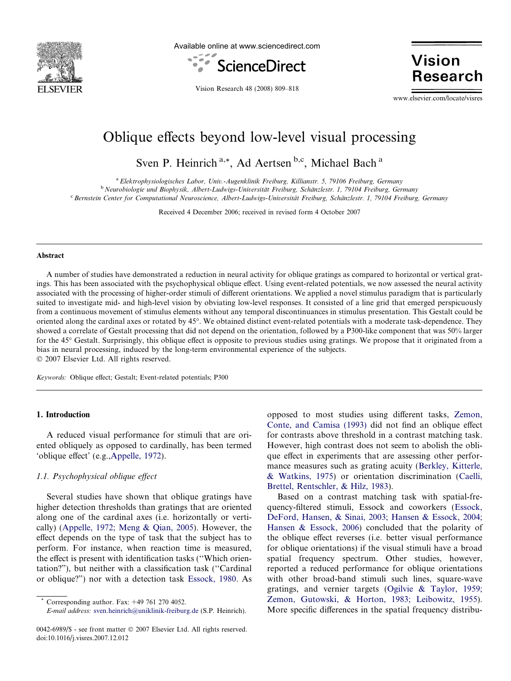<span id="page-0-0"></span>

Available online at www.sciencedirect.com



**Vision Research** 

Vision Research 48 (2008) 809–818

www.elsevier.com/locate/visres

# Oblique effects beyond low-level visual processing

Sven P. Heinrich<sup>a,\*</sup>, Ad Aertsen<sup>b,c</sup>, Michael Bach<sup>a</sup>

<sup>a</sup> Elektrophysiologisches Labor, Univ.-Augenklinik Freiburg, Killianstr. 5, 79106 Freiburg, Germany

<sup>b</sup> Neurobiologie und Biophysik, Albert-Ludwigs-Universität Freiburg, Schänzlestr. 1, 79104 Freiburg, Germany

<sup>c</sup> Bernstein Center for Computational Neuroscience, Albert-Ludwigs-Universität Freiburg, Schänzlestr. 1, 79104 Freiburg, Germany

Received 4 December 2006; received in revised form 4 October 2007

#### Abstract

A number of studies have demonstrated a reduction in neural activity for oblique gratings as compared to horizontal or vertical gratings. This has been associated with the psychophysical oblique effect. Using event-related potentials, we now assessed the neural activity associated with the processing of higher-order stimuli of different orientations. We applied a novel stimulus paradigm that is particularly suited to investigate mid- and high-level vision by obviating low-level responses. It consisted of a line grid that emerged perspicuously from a continuous movement of stimulus elements without any temporal discontinuances in stimulus presentation. This Gestalt could be oriented along the cardinal axes or rotated by 45°. We obtained distinct event-related potentials with a moderate task-dependence. They showed a correlate of Gestalt processing that did not depend on the orientation, followed by a P300-like component that was 50% larger for the 45° Gestalt. Surprisingly, this oblique effect is opposite to previous studies using gratings. We propose that it originated from a bias in neural processing, induced by the long-term environmental experience of the subjects. 2007 Elsevier Ltd. All rights reserved.

Keywords: Oblique effect; Gestalt; Event-related potentials; P300

# 1. Introduction

A reduced visual performance for stimuli that are oriented obliquely as opposed to cardinally, has been termed 'oblique effect' (e.g.[,Appelle, 1972\)](#page-8-0).

# 1.1. Psychophysical oblique effect

Several studies have shown that oblique gratings have higher detection thresholds than gratings that are oriented along one of the cardinal axes (i.e. horizontally or vertically) ([Appelle, 1972; Meng & Qian, 2005\)](#page-8-0). However, the effect depends on the type of task that the subject has to perform. For instance, when reaction time is measured, the effect is present with identification tasks (''Which orientation?"), but neither with a classification task (''Cardinal or oblique?") nor with a detection task [Essock, 1980](#page-9-0). As opposed to most studies using different tasks, [Zemon,](#page-9-0) [Conte, and Camisa \(1993\)](#page-9-0) did not find an oblique effect for contrasts above threshold in a contrast matching task. However, high contrast does not seem to abolish the oblique effect in experiments that are assessing other performance measures such as grating acuity [\(Berkley, Kitterle,](#page-8-0) [& Watkins, 1975\)](#page-8-0) or orientation discrimination [\(Caelli,](#page-8-0) [Brettel, Rentschler, & Hilz, 1983\)](#page-8-0).

Based on a contrast matching task with spatial-frequency-filtered stimuli, Essock and coworkers [\(Essock,](#page-9-0) [DeFord, Hansen, & Sinai, 2003; Hansen & Essock, 2004;](#page-9-0) [Hansen & Essock, 2006\)](#page-9-0) concluded that the polarity of the oblique effect reverses (i.e. better visual performance for oblique orientations) if the visual stimuli have a broad spatial frequency spectrum. Other studies, however, reported a reduced performance for oblique orientations with other broad-band stimuli such lines, square-wave gratings, and vernier targets ([Ogilvie & Taylor, 1959;](#page-9-0) [Zemon, Gutowski, & Horton, 1983; Leibowitz, 1955\)](#page-9-0). More specific differences in the spatial frequency distribu-

Corresponding author. Fax:  $+49$  761 270 4052.

E-mail address: [sven.heinrich@uniklinik-freiburg.de](mailto:sven.heinrich@uniklinik-freiburg.de) (S.P. Heinrich).

<sup>0042-6989/\$ -</sup> see front matter © 2007 Elsevier Ltd. All rights reserved. doi:10.1016/j.visres.2007.12.012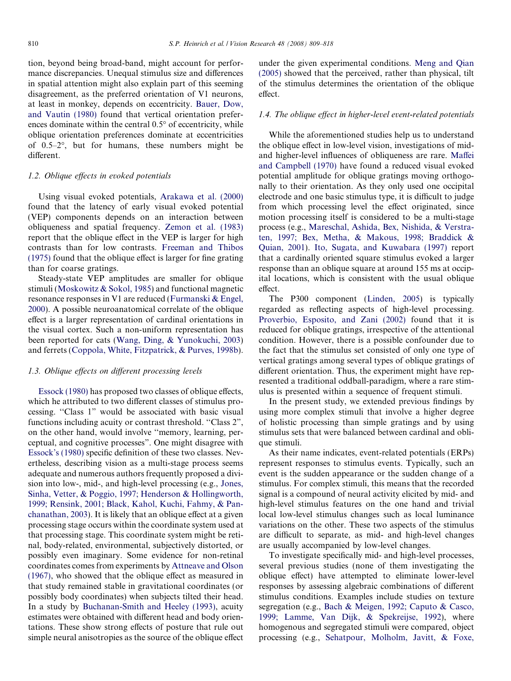tion, beyond being broad-band, might account for performance discrepancies. Unequal stimulus size and differences in spatial attention might also explain part of this seeming disagreement, as the preferred orientation of V1 neurons, at least in monkey, depends on eccentricity. [Bauer, Dow,](#page-8-0) [and Vautin \(1980\)](#page-8-0) found that vertical orientation preferences dominate within the central  $0.5^{\circ}$  of eccentricity, while oblique orientation preferences dominate at eccentricities of 0.5–2-, but for humans, these numbers might be different.

# 1.2. Oblique effects in evoked potentials

Using visual evoked potentials, [Arakawa et al. \(2000\)](#page-8-0) found that the latency of early visual evoked potential (VEP) components depends on an interaction between obliqueness and spatial frequency. [Zemon et al. \(1983\)](#page-9-0) report that the oblique effect in the VEP is larger for high contrasts than for low contrasts. [Freeman and Thibos](#page-9-0) [\(1975\)](#page-9-0) found that the oblique effect is larger for fine grating than for coarse gratings.

Steady-state VEP amplitudes are smaller for oblique stimuli [\(Moskowitz & Sokol, 1985](#page-9-0)) and functional magnetic resonance responses in V1 are reduced [\(Furmanski & Engel,](#page-9-0) [2000\)](#page-9-0). A possible neuroanatomical correlate of the oblique effect is a larger representation of cardinal orientations in the visual cortex. Such a non-uniform representation has been reported for cats ([Wang, Ding, & Yunokuchi, 2003](#page-9-0)) and ferrets ([Coppola, White, Fitzpatrick, & Purves, 1998b\)](#page-8-0).

# 1.3. Oblique effects on different processing levels

[Essock \(1980\)](#page-9-0) has proposed two classes of oblique effects, which he attributed to two different classes of stimulus processing. "Class 1" would be associated with basic visual functions including acuity or contrast threshold. ''Class 2", on the other hand, would involve ''memory, learning, perceptual, and cognitive processes". One might disagree with [Essock's \(1980\)](#page-9-0) specific definition of these two classes. Nevertheless, describing vision as a multi-stage process seems adequate and numerous authors frequently proposed a division into low-, mid-, and high-level processing (e.g., [Jones,](#page-9-0) [Sinha, Vetter, & Poggio, 1997; Henderson & Hollingworth,](#page-9-0) [1999; Rensink, 2001; Black, Kahol, Kuchi, Fahmy, & Pan](#page-9-0)[chanathan, 2003](#page-9-0)). It is likely that an oblique effect at a given processing stage occurs within the coordinate system used at that processing stage. This coordinate system might be retinal, body-related, environmental, subjectively distorted, or possibly even imaginary. Some evidence for non-retinal coordinates comes from experiments by [Attneave and Olson](#page-8-0) [\(1967\)](#page-8-0), who showed that the oblique effect as measured in that study remained stable in gravitational coordinates (or possibly body coordinates) when subjects tilted their head. In a study by [Buchanan-Smith and Heeley \(1993\)](#page-8-0), acuity estimates were obtained with different head and body orientations. These show strong effects of posture that rule out simple neural anisotropies as the source of the oblique effect under the given experimental conditions. [Meng and Qian](#page-9-0) [\(2005\)](#page-9-0) showed that the perceived, rather than physical, tilt of the stimulus determines the orientation of the oblique effect.

## 1.4. The oblique effect in higher-level event-related potentials

While the aforementioned studies help us to understand the oblique effect in low-level vision, investigations of midand higher-level influences of obliqueness are rare. [Maffei](#page-9-0) [and Campbell \(1970\)](#page-9-0) have found a reduced visual evoked potential amplitude for oblique gratings moving orthogonally to their orientation. As they only used one occipital electrode and one basic stimulus type, it is difficult to judge from which processing level the effect originated, since motion processing itself is considered to be a multi-stage process (e.g., [Mareschal, Ashida, Bex, Nishida, & Verstra](#page-9-0)[ten, 1997; Bex, Metha, & Makous, 1998; Braddick &](#page-9-0) [Quian, 2001\)](#page-9-0). [Ito, Sugata, and Kuwabara \(1997\)](#page-9-0) report that a cardinally oriented square stimulus evoked a larger response than an oblique square at around 155 ms at occipital locations, which is consistent with the usual oblique effect.

The P300 component [\(Linden, 2005](#page-9-0)) is typically regarded as reflecting aspects of high-level processing. [Proverbio, Esposito, and Zani \(2002\)](#page-9-0) found that it is reduced for oblique gratings, irrespective of the attentional condition. However, there is a possible confounder due to the fact that the stimulus set consisted of only one type of vertical gratings among several types of oblique gratings of different orientation. Thus, the experiment might have represented a traditional oddball-paradigm, where a rare stimulus is presented within a sequence of frequent stimuli.

In the present study, we extended previous findings by using more complex stimuli that involve a higher degree of holistic processing than simple gratings and by using stimulus sets that were balanced between cardinal and oblique stimuli.

As their name indicates, event-related potentials (ERPs) represent responses to stimulus events. Typically, such an event is the sudden appearance or the sudden change of a stimulus. For complex stimuli, this means that the recorded signal is a compound of neural activity elicited by mid- and high-level stimulus features on the one hand and trivial local low-level stimulus changes such as local luminance variations on the other. These two aspects of the stimulus are difficult to separate, as mid- and high-level changes are usually accompanied by low-level changes.

To investigate specifically mid- and high-level processes, several previous studies (none of them investigating the oblique effect) have attempted to eliminate lower-level responses by assessing algebraic combinations of different stimulus conditions. Examples include studies on texture segregation (e.g., [Bach & Meigen, 1992; Caputo & Casco,](#page-8-0) [1999; Lamme, Van Dijk, & Spekreijse, 1992](#page-8-0)), where homogenous and segregated stimuli were compared, object processing (e.g., [Sehatpour, Molholm, Javitt, & Foxe,](#page-9-0)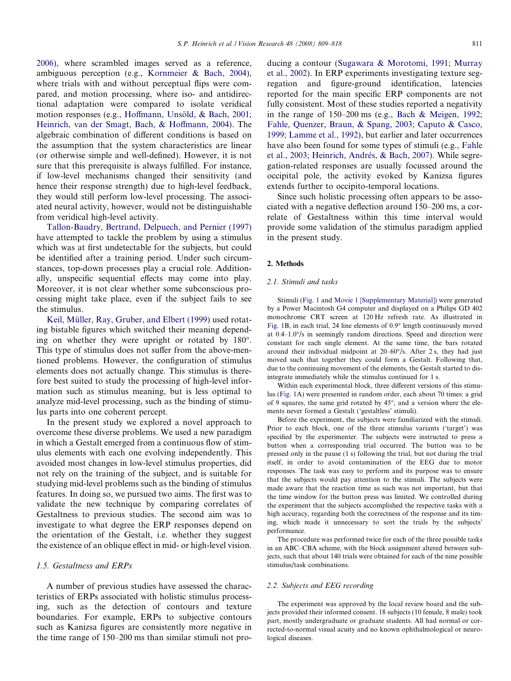[2006](#page-9-0)), where scrambled images served as a reference, ambiguous perception (e.g., [Kornmeier & Bach, 2004\)](#page-9-0), where trials with and without perceptual flips were compared, and motion processing, where iso- and antidirectional adaptation were compared to isolate veridical motion responses (e.g., Hoffmann, Unsöld, & Bach, 2001; [Heinrich, van der Smagt, Bach, & Hoffmann, 2004](#page-9-0)). The algebraic combination of different conditions is based on the assumption that the system characteristics are linear (or otherwise simple and well-defined). However, it is not sure that this prerequisite is always fulfilled. For instance, if low-level mechanisms changed their sensitivity (and hence their response strength) due to high-level feedback, they would still perform low-level processing. The associated neural activity, however, would not be distinguishable from veridical high-level activity.

[Tallon-Baudry, Bertrand, Delpuech, and Pernier \(1997\)](#page-9-0) have attempted to tackle the problem by using a stimulus which was at first undetectable for the subjects, but could be identified after a training period. Under such circumstances, top-down processes play a crucial role. Additionally, unspecific sequential effects may come into play. Moreover, it is not clear whether some subconscious processing might take place, even if the subject fails to see the stimulus.

Keil, Müller, Ray, Gruber, and Elbert (1999) used rotating bistable figures which switched their meaning depending on whether they were upright or rotated by 180°. This type of stimulus does not suffer from the above-mentioned problems. However, the configuration of stimulus elements does not actually change. This stimulus is therefore best suited to study the processing of high-level information such as stimulus meaning, but is less optimal to analyze mid-level processing, such as the binding of stimulus parts into one coherent percept.

In the present study we explored a novel approach to overcome these diverse problems. We used a new paradigm in which a Gestalt emerged from a continuous flow of stimulus elements with each one evolving independently. This avoided most changes in low-level stimulus properties, did not rely on the training of the subject, and is suitable for studying mid-level problems such as the binding of stimulus features. In doing so, we pursued two aims. The first was to validate the new technique by comparing correlates of Gestaltness to previous studies. The second aim was to investigate to what degree the ERP responses depend on the orientation of the Gestalt, i.e. whether they suggest the existence of an oblique effect in mid- or high-level vision.

# 1.5. Gestaltness and ERPs

A number of previous studies have assessed the characteristics of ERPs associated with holistic stimulus processing, such as the detection of contours and texture boundaries. For example, ERPs to subjective contours such as Kanizsa figures are consistently more negative in the time range of 150–200 ms than similar stimuli not producing a contour ([Sugawara & Morotomi, 1991; Murray](#page-9-0) [et al., 2002](#page-9-0)). In ERP experiments investigating texture segregation and figure-ground identification, latencies reported for the main specific ERP components are not fully consistent. Most of these studies reported a negativity in the range of 150–200 ms (e.g., [Bach & Meigen, 1992;](#page-8-0) [Fahle, Quenzer, Braun, & Spang, 2003; Caputo & Casco,](#page-8-0) [1999; Lamme et al., 1992\)](#page-8-0), but earlier and later occurrences have also been found for some types of stimuli (e.g., [Fahle](#page-9-0) et al., 2003; Heinrich, Andrés, & Bach, 2007). While segregation-related responses are usually focussed around the occipital pole, the activity evoked by Kanizsa figures extends further to occipito-temporal locations.

Since such holistic processing often appears to be associated with a negative deflection around 150–200 ms, a correlate of Gestaltness within this time interval would provide some validation of the stimulus paradigm applied in the present study.

# 2. Methods

#### 2.1. Stimuli and tasks

Stimuli ([Fig. 1](#page-3-0) and Movie 1 [Supplementary Material]) were generated by a Power Macintosh G4 computer and displayed on a Philips GD 402 monochrome CRT screen at 120 Hz refresh rate. As illustrated in [Fig. 1B](#page-3-0), in each trial, 24 line elements of  $0.9^{\circ}$  length continuously moved at  $0.4$ –1.0 $\degree$ /s in seemingly random directions. Speed and direction were constant for each single element. At the same time, the bars rotated around their individual midpoint at  $20-60^{\circ}/s$ . After 2 s, they had just moved such that together they could form a Gestalt. Following that, due to the continuing movement of the elements, the Gestalt started to disintegrate immediately while the stimulus continued for 1 s.

Within each experimental block, three different versions of this stimulus [\(Fig. 1A](#page-3-0)) were presented in random order, each about 70 times: a grid of 9 squares, the same grid rotated by  $45^{\circ}$ , and a version where the elements never formed a Gestalt ('gestaltless' stimuli).

Before the experiment, the subjects were familiarized with the stimuli. Prior to each block, one of the three stimulus variants ('target') was specified by the experimenter. The subjects were instructed to press a button when a corresponding trial occurred. The button was to be pressed only in the pause (1 s) following the trial, but not during the trial itself, in order to avoid contamination of the EEG due to motor responses. The task was easy to perform and its purpose was to ensure that the subjects would pay attention to the stimuli. The subjects were made aware that the reaction time as such was not important, but that the time window for the button press was limited. We controlled during the experiment that the subjects accomplished the respective tasks with a high accuracy, regarding both the correctness of the response and its timing, which made it unnecessary to sort the trials by the subjects' performance.

The procedure was performed twice for each of the three possible tasks in an ABC–CBA scheme, with the block assignment altered between subjects, such that about 140 trials were obtained for each of the nine possible stimulus/task combinations.

#### 2.2. Subjects and EEG recording

The experiment was approved by the local review board and the subjects provided their informed consent. 18 subjects (10 female, 8 male) took part, mostly undergraduate or graduate students. All had normal or corrected-to-normal visual acuity and no known ophthalmological or neurological diseases.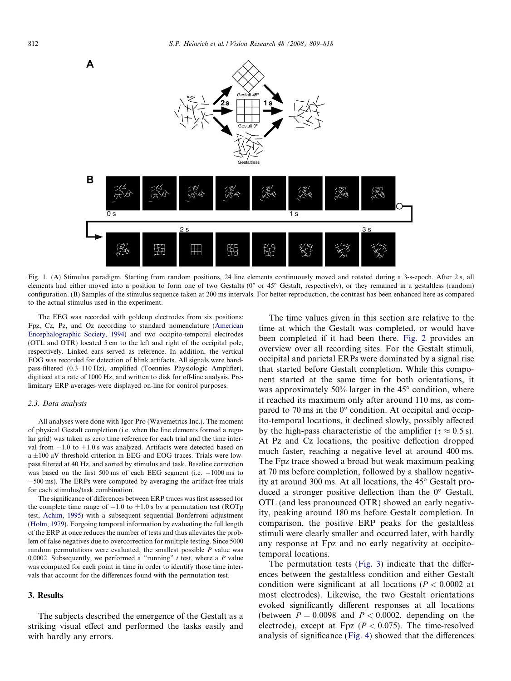<span id="page-3-0"></span>

Fig. 1. (A) Stimulus paradigm. Starting from random positions, 24 line elements continuously moved and rotated during a 3-s-epoch. After 2 s, all elements had either moved into a position to form one of two Gestalts (0° or 45° Gestalt, respectively), or they remained in a gestaltless (random) configuration. (B) Samples of the stimulus sequence taken at 200 ms intervals. For better reproduction, the contrast has been enhanced here as compared to the actual stimulus used in the experiment.

The EEG was recorded with goldcup electrodes from six positions: Fpz, Cz, Pz, and Oz according to standard nomenclature ([American](#page-8-0) [Encephalographic Society, 1994\)](#page-8-0) and two occipito-temporal electrodes (OTL and OTR) located 5 cm to the left and right of the occipital pole, respectively. Linked ears served as reference. In addition, the vertical EOG was recorded for detection of blink artifacts. All signals were bandpass-filtered (0.3–110 Hz), amplified (Toennies Physiologic Amplifier), digitized at a rate of 1000 Hz, and written to disk for off-line analysis. Preliminary ERP averages were displayed on-line for control purposes.

#### 2.3. Data analysis

All analyses were done with Igor Pro (Wavemetrics Inc.). The moment of physical Gestalt completion (i.e. when the line elements formed a regular grid) was taken as zero time reference for each trial and the time interval from -1.0 to +1.0 s was analyzed. Artifacts were detected based on  $a \pm 100 \mu V$  threshold criterion in EEG and EOG traces. Trials were lowpass filtered at 40 Hz, and sorted by stimulus and task. Baseline correction was based on the first 500 ms of each EEG segment (i.e.  $-1000 \text{ ms}$  to -500 ms). The ERPs were computed by averaging the artifact-free trials for each stimulus/task combination.

The significance of differences between ERP traces was first assessed for the complete time range of  $-1.0$  to  $+1.0$  s by a permutation test (ROTp test, [Achim, 1995](#page-8-0)) with a subsequent sequential Bonferroni adjustment [\(Holm, 1979\)](#page-9-0). Forgoing temporal information by evaluating the full length of the ERP at once reduces the number of tests and thus alleviates the problem of false negatives due to overcorrection for multiple testing. Since 5000 random permutations were evaluated, the smallest possible  $P$  value was 0.0002. Subsequently, we performed a "running"  $t$  test, where a  $P$  value was computed for each point in time in order to identify those time intervals that account for the differences found with the permutation test.

# 3. Results

The subjects described the emergence of the Gestalt as a striking visual effect and performed the tasks easily and with hardly any errors.

The time values given in this section are relative to the time at which the Gestalt was completed, or would have been completed if it had been there. [Fig. 2](#page-4-0) provides an overview over all recording sites. For the Gestalt stimuli, occipital and parietal ERPs were dominated by a signal rise that started before Gestalt completion. While this component started at the same time for both orientations, it was approximately 50% larger in the  $45^{\circ}$  condition, where it reached its maximum only after around 110 ms, as compared to 70 ms in the  $0^{\circ}$  condition. At occipital and occipito-temporal locations, it declined slowly, possibly affected by the high-pass characteristic of the amplifier ( $\tau \approx 0.5$  s). At Pz and Cz locations, the positive deflection dropped much faster, reaching a negative level at around 400 ms. The Fpz trace showed a broad but weak maximum peaking at 70 ms before completion, followed by a shallow negativity at around 300 ms. At all locations, the  $45^{\circ}$  Gestalt produced a stronger positive deflection than the  $0^{\circ}$  Gestalt. OTL (and less pronounced OTR) showed an early negativity, peaking around 180 ms before Gestalt completion. In comparison, the positive ERP peaks for the gestaltless stimuli were clearly smaller and occurred later, with hardly any response at Fpz and no early negativity at occipitotemporal locations.

The permutation tests [\(Fig. 3\)](#page-5-0) indicate that the differences between the gestaltless condition and either Gestalt condition were significant at all locations ( $P < 0.0002$  at most electrodes). Likewise, the two Gestalt orientations evoked significantly different responses at all locations (between  $P = 0.0098$  and  $P < 0.0002$ , depending on the electrode), except at Fpz  $(P < 0.075)$ . The time-resolved analysis of significance [\(Fig. 4\)](#page-6-0) showed that the differences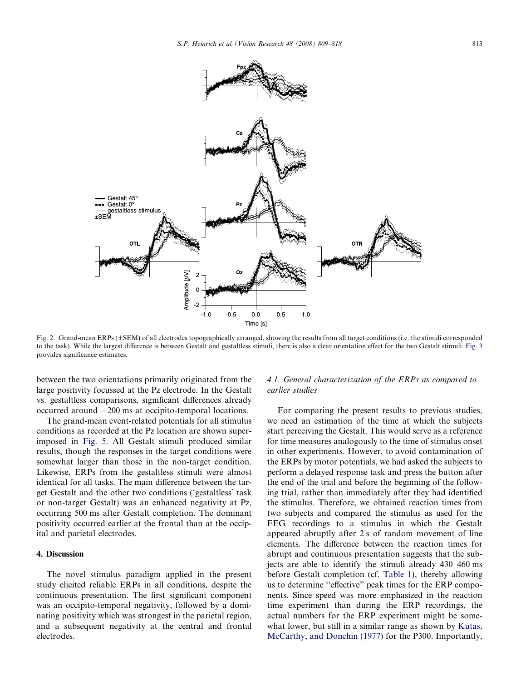<span id="page-4-0"></span>

Fig. 2. Grand-mean ERPs  $(\pm$ SEM) of all electrodes topographically arranged, showing the results from all target conditions (i.e. the stimuli corresponded to the task). While the largest difference is between Gestalt and gestaltless stimuli, there is also a clear orientation effect for the two Gestalt stimuli. [Fig. 3](#page-5-0) provides significance estimates.

between the two orientations primarily originated from the large positivity focussed at the Pz electrode. In the Gestalt vs. gestaltless comparisons, significant differences already occurred around -200 ms at occipito-temporal locations.

The grand-mean event-related potentials for all stimulus conditions as recorded at the Pz location are shown superimposed in [Fig. 5.](#page-6-0) All Gestalt stimuli produced similar results, though the responses in the target conditions were somewhat larger than those in the non-target condition. Likewise, ERPs from the gestaltless stimuli were almost identical for all tasks. The main difference between the target Gestalt and the other two conditions ('gestaltless' task or non-target Gestalt) was an enhanced negativity at Pz, occurring 500 ms after Gestalt completion. The dominant positivity occurred earlier at the frontal than at the occipital and parietal electrodes.

# 4. Discussion

The novel stimulus paradigm applied in the present study elicited reliable ERPs in all conditions, despite the continuous presentation. The first significant component was an occipito-temporal negativity, followed by a dominating positivity which was strongest in the parietal region, and a subsequent negativity at the central and frontal electrodes.

# 4.1. General characterization of the ERPs as compared to earlier studies

For comparing the present results to previous studies, we need an estimation of the time at which the subjects start perceiving the Gestalt. This would serve as a reference for time measures analogously to the time of stimulus onset in other experiments. However, to avoid contamination of the ERPs by motor potentials, we had asked the subjects to perform a delayed response task and press the button after the end of the trial and before the beginning of the following trial, rather than immediately after they had identified the stimulus. Therefore, we obtained reaction times from two subjects and compared the stimulus as used for the EEG recordings to a stimulus in which the Gestalt appeared abruptly after 2 s of random movement of line elements. The difference between the reaction times for abrupt and continuous presentation suggests that the subjects are able to identify the stimuli already 430–460 ms before Gestalt completion (cf. [Table 1](#page-7-0)), thereby allowing us to determine ''effective" peak times for the ERP components. Since speed was more emphasized in the reaction time experiment than during the ERP recordings, the actual numbers for the ERP experiment might be somewhat lower, but still in a similar range as shown by [Kutas,](#page-9-0) [McCarthy, and Donchin \(1977\)](#page-9-0) for the P300. Importantly,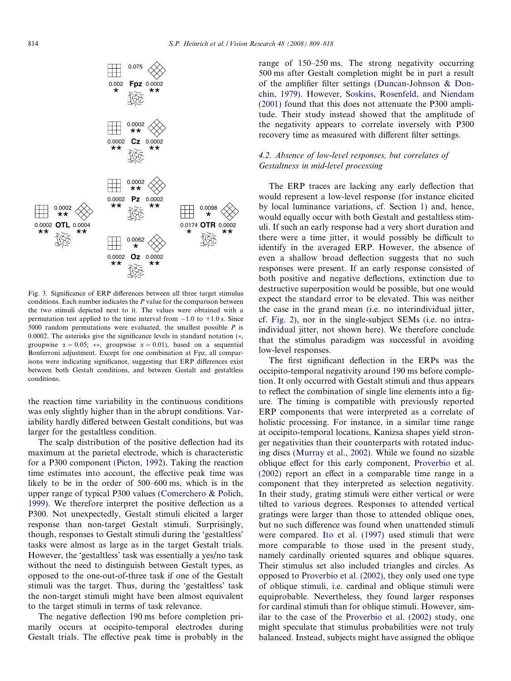<span id="page-5-0"></span>

Fig. 3. Significance of ERP differences between all three target stimulus conditions. Each number indicates the P value for the comparison between the two stimuli depicted next to it. The values were obtained with a permutation test applied to the time interval from  $-1.0$  to  $+1.0$  s. Since 5000 random permutations were evaluated, the smallest possible  $P$  is 0.0002. The asterisks give the significance levels in standard notation  $(*,$ groupwise  $\alpha = 0.05$ ; \*\*, groupwise  $\alpha = 0.01$ ), based on a sequential Bonferroni adjustment. Except for one combination at Fpz, all comparisons were indicating significance, suggesting that ERP differences exist between both Gestalt conditions, and between Gestalt and gestaltless conditions.

the reaction time variability in the continuous conditions was only slightly higher than in the abrupt conditions. Variability hardly differed between Gestalt conditions, but was larger for the gestaltless condition.

The scalp distribution of the positive deflection had its maximum at the parietal electrode, which is characteristic for a P300 component ([Picton, 1992](#page-9-0)). Taking the reaction time estimates into account, the effective peak time was likely to be in the order of 500–600 ms, which is in the upper range of typical P300 values ([Comerchero & Polich,](#page-8-0) [1999\)](#page-8-0). We therefore interpret the positive deflection as a P300. Not unexpectedly, Gestalt stimuli elicited a larger response than non-target Gestalt stimuli. Surprisingly, though, responses to Gestalt stimuli during the 'gestaltless' tasks were almost as large as in the target Gestalt trials. However, the 'gestaltless' task was essentially a yes/no task without the need to distinguish between Gestalt types, as opposed to the one-out-of-three task if one of the Gestalt stimuli was the target. Thus, during the 'gestaltless' task the non-target stimuli might have been almost equivalent to the target stimuli in terms of task relevance.

The negative deflection 190 ms before completion primarily occurs at occipito-temporal electrodes during Gestalt trials. The effective peak time is probably in the range of 150–250 ms. The strong negativity occurring 500 ms after Gestalt completion might be in part a result of the amplifier filter settings ([Duncan-Johnson & Don](#page-9-0)[chin, 1979\)](#page-9-0). However, [Soskins, Rosenfeld, and Niendam](#page-9-0) [\(2001\)](#page-9-0) found that this does not attenuate the P300 amplitude. Their study instead showed that the amplitude of the negativity appears to correlate inversely with P300 recovery time as measured with different filter settings.

# 4.2. Absence of low-level responses, but correlates of Gestaltness in mid-level processing

The ERP traces are lacking any early deflection that would represent a low-level response (for instance elicited by local luminance variations, cf. Section [1\)](#page-0-0) and, hence, would equally occur with both Gestalt and gestaltless stimuli. If such an early response had a very short duration and there were a time jitter, it would possibly be difficult to identify in the averaged ERP. However, the absence of even a shallow broad deflection suggests that no such responses were present. If an early response consisted of both positive and negative deflections, extinction due to destructive superposition would be possible, but one would expect the standard error to be elevated. This was neither the case in the grand mean (i.e. no interindividual jitter, cf. [Fig. 2\)](#page-4-0), nor in the single-subject SEMs (i.e. no intraindividual jitter, not shown here). We therefore conclude that the stimulus paradigm was successful in avoiding low-level responses.

The first significant deflection in the ERPs was the occipito-temporal negativity around 190 ms before completion. It only occurred with Gestalt stimuli and thus appears to reflect the combination of single line elements into a figure. The timing is compatible with previously reported ERP components that were interpreted as a correlate of holistic processing. For instance, in a similar time range at occipito-temporal locations, Kanizsa shapes yield stronger negativities than their counterparts with rotated inducing discs [\(Murray et al., 2002\)](#page-9-0). While we found no sizable oblique effect for this early component, [Proverbio et al.](#page-9-0) [\(2002\)](#page-9-0) report an effect in a comparable time range in a component that they interpreted as selection negativity. In their study, grating stimuli were either vertical or were tilted to various degrees. Responses to attended vertical gratings were larger than those to attended oblique ones, but no such difference was found when unattended stimuli were compared. [Ito et al. \(1997\)](#page-9-0) used stimuli that were more comparable to those used in the present study, namely cardinally oriented squares and oblique squares. Their stimulus set also included triangles and circles. As opposed to [Proverbio et al. \(2002\),](#page-9-0) they only used one type of oblique stimuli, i.e. cardinal and oblique stimuli were equiprobable. Nevertheless, they found larger responses for cardinal stimuli than for oblique stimuli. However, similar to the case of the [Proverbio et al. \(2002\)](#page-9-0) study, one might speculate that stimulus probabilities were not truly balanced. Instead, subjects might have assigned the oblique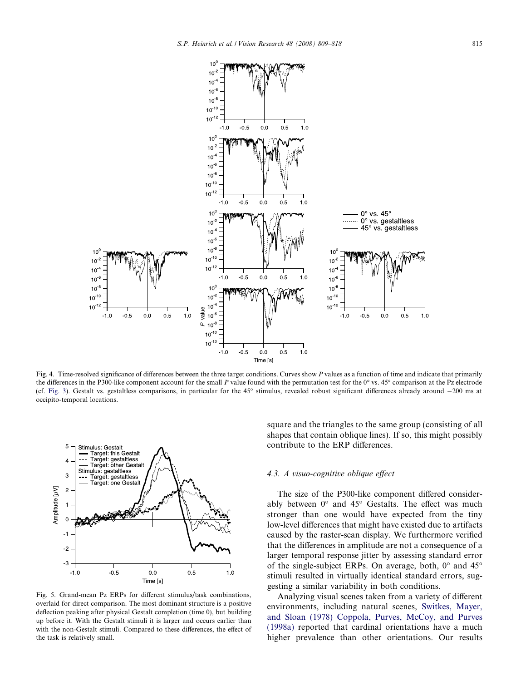<span id="page-6-0"></span>

Fig. 4. Time-resolved significance of differences between the three target conditions. Curves show P values as a function of time and indicate that primarily the differences in the P300-like component account for the small P value found with the permutation test for the  $0^{\circ}$  vs. 45° comparison at the Pz electrode (cf. [Fig. 3\)](#page-5-0). Gestalt vs. gestaltless comparisons, in particular for the 45 $^{\circ}$  stimulus, revealed robust significant differences already around  $-200$  ms at occipito-temporal locations.



Fig. 5. Grand-mean Pz ERPs for different stimulus/task combinations, overlaid for direct comparison. The most dominant structure is a positive deflection peaking after physical Gestalt completion (time 0), but building up before it. With the Gestalt stimuli it is larger and occurs earlier than with the non-Gestalt stimuli. Compared to these differences, the effect of the task is relatively small.

square and the triangles to the same group (consisting of all shapes that contain oblique lines). If so, this might possibly contribute to the ERP differences.

## 4.3. A visuo-cognitive oblique effect

The size of the P300-like component differed considerably between  $0^{\circ}$  and  $45^{\circ}$  Gestalts. The effect was much stronger than one would have expected from the tiny low-level differences that might have existed due to artifacts caused by the raster-scan display. We furthermore verified that the differences in amplitude are not a consequence of a larger temporal response jitter by assessing standard error of the single-subject ERPs. On average, both,  $0^{\circ}$  and  $45^{\circ}$ stimuli resulted in virtually identical standard errors, suggesting a similar variability in both conditions.

Analyzing visual scenes taken from a variety of different environments, including natural scenes, [Switkes, Mayer,](#page-9-0) [and Sloan \(1978\) Coppola, Purves, McCoy, and Purves](#page-9-0) [\(1998a\)](#page-9-0) reported that cardinal orientations have a much higher prevalence than other orientations. Our results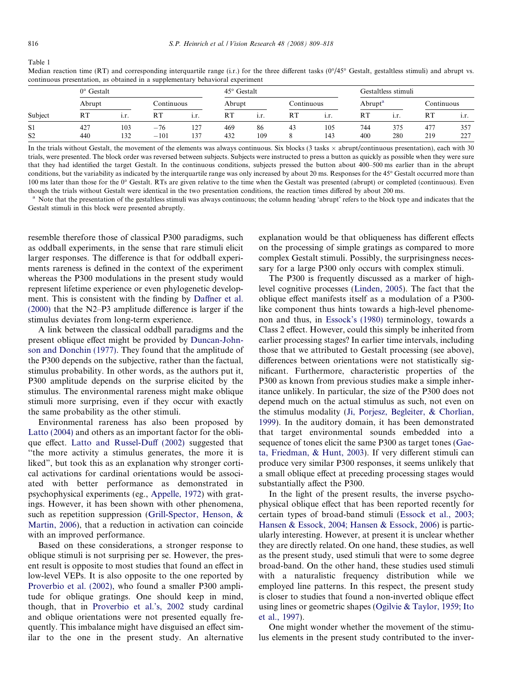<span id="page-7-0"></span>Table 1

| Subject        | $0^{\circ}$ Gestalt |      |            |      | $45^{\circ}$ Gestalt |      |            |      | Gestaltless stimuli |      |            |      |
|----------------|---------------------|------|------------|------|----------------------|------|------------|------|---------------------|------|------------|------|
|                | Abrupt              |      | Continuous |      | Abrupt               |      | Continuous |      | Abrupt <sup>a</sup> |      | Continuous |      |
|                | <b>RT</b>           | 1.r. | RT         | 1.r. | RT                   | 1.r. | RT         | 1.r. | RT                  | 1.1. | <b>RT</b>  | 1.T. |
| S1             | 427                 | 103  | $-76$      | 127  | 469                  | 86   | 43         | 105  | 744                 | 375  | 477        | 357  |
| S <sub>2</sub> | 440                 | 132  | $-101$     | 137  | 432                  | 109  |            | 143  | 400                 | 280  | 219        | 227  |

Median reaction time (RT) and corresponding interquartile range (i.r.) for the three different tasks (0°/45° Gestalt, gestaltless stimuli) and abrupt vs. continuous presentation, as obtained in a supplementary behavioral experiment

In the trials without Gestalt, the movement of the elements was always continuous. Six blocks (3 tasks  $\times$  abrupt/continuous presentation), each with 30 trials, were presented. The block order was reversed between subjects. Subjects were instructed to press a button as quickly as possible when they were sure that they had identified the target Gestalt. In the continuous conditions, subjects pressed the button about 400–500 ms earlier than in the abrupt conditions, but the variability as indicated by the interquartile range was only increased by about 20 ms. Responses for the 45° Gestalt occurred more than 100 ms later than those for the  $0^{\circ}$  Gestalt. RTs are given relative to the time when the Gestalt was presented (abrupt) or completed (continuous). Even though the trials without Gestalt were identical in the two presentation conditions, the reaction times differed by about 200 ms.

<sup>a</sup> Note that the presentation of the gestaltless stimuli was always continuous; the column heading 'abrupt' refers to the block type and indicates that the Gestalt stimuli in this block were presented abruptly.

resemble therefore those of classical P300 paradigms, such as oddball experiments, in the sense that rare stimuli elicit larger responses. The difference is that for oddball experiments rareness is defined in the context of the experiment whereas the P300 modulations in the present study would represent lifetime experience or even phylogenetic development. This is consistent with the finding by [Daffner et al.](#page-8-0) [\(2000\)](#page-8-0) that the N2–P3 amplitude difference is larger if the stimulus deviates from long-term experience.

A link between the classical oddball paradigms and the present oblique effect might be provided by [Duncan-John](#page-9-0)[son and Donchin \(1977\).](#page-9-0) They found that the amplitude of the P300 depends on the subjective, rather than the factual, stimulus probability. In other words, as the authors put it, P300 amplitude depends on the surprise elicited by the stimulus. The environmental rareness might make oblique stimuli more surprising, even if they occur with exactly the same probability as the other stimuli.

Environmental rareness has also been proposed by [Latto \(2004\)](#page-9-0) and others as an important factor for the oblique effect. [Latto and Russel-Duff \(2002\)](#page-9-0) suggested that ''the more activity a stimulus generates, the more it is liked", but took this as an explanation why stronger cortical activations for cardinal orientations would be associated with better performance as demonstrated in psychophysical experiments (eg., [Appelle, 1972\)](#page-8-0) with gratings. However, it has been shown with other phenomena, such as repetition suppression ([Grill-Spector, Henson, &](#page-9-0) [Martin, 2006](#page-9-0)), that a reduction in activation can coincide with an improved performance.

Based on these considerations, a stronger response to oblique stimuli is not surprising per se. However, the present result is opposite to most studies that found an effect in low-level VEPs. It is also opposite to the one reported by [Proverbio et al. \(2002\),](#page-9-0) who found a smaller P300 amplitude for oblique gratings. One should keep in mind, though, that in [Proverbio et al.'s, 2002](#page-9-0) study cardinal and oblique orientations were not presented equally frequently. This imbalance might have disguised an effect similar to the one in the present study. An alternative

explanation would be that obliqueness has different effects on the processing of simple gratings as compared to more complex Gestalt stimuli. Possibly, the surprisingness necessary for a large P300 only occurs with complex stimuli.

The P300 is frequently discussed as a marker of highlevel cognitive processes ([Linden, 2005](#page-9-0)). The fact that the oblique effect manifests itself as a modulation of a P300 like component thus hints towards a high-level phenomenon and thus, in [Essock's \(1980\)](#page-9-0) terminology, towards a Class 2 effect. However, could this simply be inherited from earlier processing stages? In earlier time intervals, including those that we attributed to Gestalt processing (see above), differences between orientations were not statistically significant. Furthermore, characteristic properties of the P300 as known from previous studies make a simple inheritance unlikely. In particular, the size of the P300 does not depend much on the actual stimulus as such, not even on the stimulus modality [\(Ji, Porjesz, Begleiter, & Chorlian,](#page-9-0) [1999\)](#page-9-0). In the auditory domain, it has been demonstrated that target environmental sounds embedded into a sequence of tones elicit the same P300 as target tones ([Gae](#page-9-0)[ta, Friedman, & Hunt, 2003](#page-9-0)). If very different stimuli can produce very similar P300 responses, it seems unlikely that a small oblique effect at preceding processing stages would substantially affect the P300.

In the light of the present results, the inverse psychophysical oblique effect that has been reported recently for certain types of broad-band stimuli [\(Essock et al., 2003;](#page-9-0) [Hansen & Essock, 2004; Hansen & Essock, 2006](#page-9-0)) is particularly interesting. However, at present it is unclear whether they are directly related. On one hand, these studies, as well as the present study, used stimuli that were to some degree broad-band. On the other hand, these studies used stimuli with a naturalistic frequency distribution while we employed line patterns. In this respect, the present study is closer to studies that found a non-inverted oblique effect using lines or geometric shapes [\(Ogilvie & Taylor, 1959; Ito](#page-9-0) [et al., 1997](#page-9-0)).

One might wonder whether the movement of the stimulus elements in the present study contributed to the inver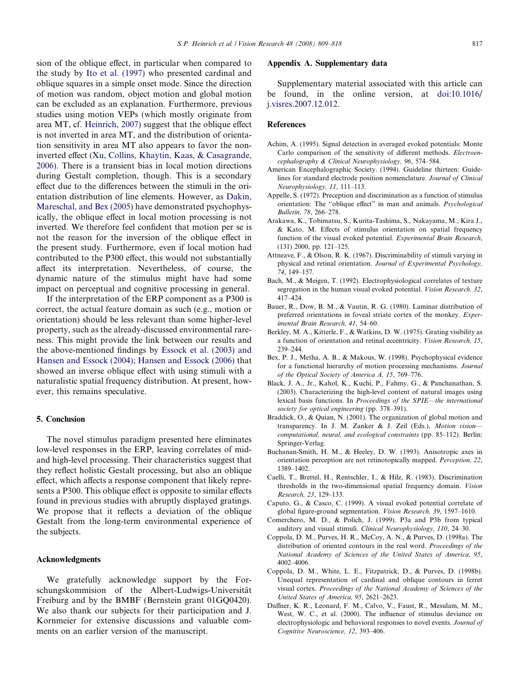<span id="page-8-0"></span>sion of the oblique effect, in particular when compared to the study by [Ito et al. \(1997\)](#page-9-0) who presented cardinal and oblique squares in a simple onset mode. Since the direction of motion was random, object motion and global motion can be excluded as an explanation. Furthermore, previous studies using motion VEPs (which mostly originate from area MT, cf. [Heinrich, 2007](#page-9-0)) suggest that the oblique effect is not inverted in area MT, and the distribution of orientation sensitivity in area MT also appears to favor the noninverted effect ([Xu, Collins, Khaytin, Kaas, & Casagrande,](#page-9-0) [2006](#page-9-0)). There is a transient bias in local motion directions during Gestalt completion, though. This is a secondary effect due to the differences between the stimuli in the orientation distribution of line elements. However, as [Dakin,](#page-9-0) [Mareschal, and Bex \(2005\)](#page-9-0) have demonstrated psychophysically, the oblique effect in local motion processing is not inverted. We therefore feel confident that motion per se is not the reason for the inversion of the oblique effect in the present study. Furthermore, even if local motion had contributed to the P300 effect, this would not substantially affect its interpretation. Nevertheless, of course, the dynamic nature of the stimulus might have had some impact on perceptual and cognitive processing in general.

If the interpretation of the ERP component as a P300 is correct, the actual feature domain as such (e.g., motion or orientation) should be less relevant than some higher-level property, such as the already-discussed environmental rareness. This might provide the link between our results and the above-mentioned findings by [Essock et al. \(2003\) and](#page-9-0) [Hansen and Essock \(2004\); Hansen and Essock \(2006\)](#page-9-0) that showed an inverse oblique effect with using stimuli with a naturalistic spatial frequency distribution. At present, however, this remains speculative.

# 5. Conclusion

The novel stimulus paradigm presented here eliminates low-level responses in the ERP, leaving correlates of midand high-level processing. Their characteristics suggest that they reflect holistic Gestalt processing, but also an oblique effect, which affects a response component that likely represents a P300. This oblique effect is opposite to similar effects found in previous studies with abruptly displayed gratings. We propose that it reflects a deviation of the oblique Gestalt from the long-term environmental experience of the subjects.

# Acknowledgments

We gratefully acknowledge support by the Forschungskommision of the Albert-Ludwigs-Universität Freiburg and by the BMBF (Bernstein grant 01GQ0420). We also thank our subjects for their participation and J. Kornmeier for extensive discussions and valuable comments on an earlier version of the manuscript.

# Appendix A. Supplementary data

Supplementary material associated with this article can be found, in the online version, at [doi:10.1016/](http://dx.doi.org/10.1016/j.visres.2007.12.012) [j.visres.2007.12.012.](http://dx.doi.org/10.1016/j.visres.2007.12.012)

# References

- Achim, A. (1995). Signal detection in averaged evoked potentials: Monte Carlo comparison of the sensitivity of different methods. Electroencephalography & Clinical Neurophysiology, 96, 574–584.
- American Encephalographic Society. (1994). Guideline thirteen: Guidelines for standard electrode position nomenclature. Journal of Clinical Neurophysiology, 11, 111–113.
- Appelle, S. (1972). Preception and discrimination as a function of stimulus orientation: The ''oblique effect" in man and animals. Psychological Bulletin, 78, 266–278.
- Arakawa, K., Tobimatsu, S., Kurita-Tashima, S., Nakayama, M., Kira J., & Kato, M. Effects of stimulus orientation on spatial frequency function of the visual evoked potential. Experimental Brain Research, (131) 2000, pp. 121–125.
- Attneave, F., & Olson, R. K. (1967). Discriminability of stimuli varying in physical and retinal orientation. Journal of Experimental Psychology, 74, 149–157.
- Bach, M., & Meigen, T. (1992). Electrophysiological correlates of texture segregation in the human visual evoked potential. Vision Research, 32, 417–424.
- Bauer, R., Dow, B. M., & Vautin, R. G. (1980). Laminar distribution of preferred orientations in foveal striate cortex of the monkey. Experimental Brain Research, 41, 54–60.
- Berkley, M. A., Kitterle, F., & Watkins, D. W. (1975). Grating visibility as a function of orientation and retinal eccentricity. Vision Research, 15, 239–244.
- Bex, P. J., Metha, A. B., & Makous, W. (1998). Psychophysical evidence for a functional hierarchy of motion processing mechanisms. Journal of the Optical Society of America A, 15, 769–776.
- Black, J. A., Jr., Kahol, K., Kuchi, P., Fahmy, G., & Panchanathan, S. (2003). Characterizing the high-level content of natural images using lexical basis functions. In Proceedings of the SPIE—the international society for optical engineering (pp. 378–391).
- Braddick, O., & Quian, N. (2001). The organization of global motion and transparency. In J. M. Zanker & J. Zeil (Eds.), Motion vision computational, neural, and ecological constraints (pp. 85–112). Berlin: Springer-Verlag.
- Buchanan-Smith, H. M., & Heeley, D. W. (1993). Anisotropic axes in orientation perception are not retinotopically mapped. Perception, 22, 1389–1402.
- Caelli, T., Brettel, H., Rentschler, I., & Hilz, R. (1983). Discrimination thresholds in the two-dimensional spatial frequency domain. Vision Research, 23, 129–133.
- Caputo, G., & Casco, C. (1999). A visual evoked potential correlate of global figure-ground segmentation. Vision Research, 39, 1597–1610.
- Comerchero, M. D., & Polich, J. (1999). P3a and P3b from typical auditory and visual stimuli. Clinical Neurophysiology, 110, 24–30.
- Coppola, D. M., Purves, H. R., McCoy, A. N., & Purves, D. (1998a). The distribution of oriented contours in the real word. Proceedings of the National Academy of Sciences of the United States of America, 95, 4002–4006.
- Coppola, D. M., White, L. E., Fitzpatrick, D., & Purves, D. (1998b). Unequal representation of cardinal and oblique contours in ferret visual cortex. Proceedings of the National Academy of Sciences of the United States of America, 95, 2621–2623.
- Daffner, K. R., Leonard, F. M., Calvo, V., Faust, R., Mesulam, M. M., West, W. C., et al. (2000). The influence of stimulus deviance on electrophysiologic and behavioral responses to novel events. Journal of Cognitive Neuroscience, 12, 393–406.